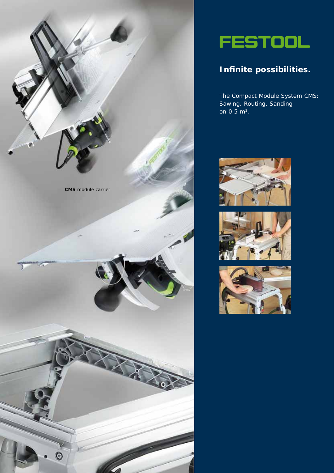



## **Infinite possibilities.**

The Compact Module System CMS: Sawing, Routing, Sanding on  $0.5 \text{ m}^2$ .





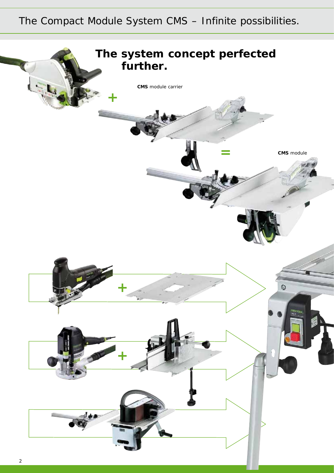# The Compact Module System CMS – Infinite possibilities.

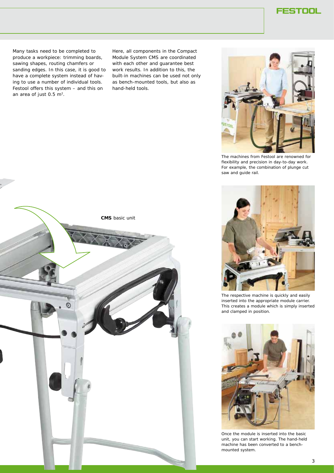Many tasks need to be completed to produce a workpiece: trimming boards, sawing shapes, routing chamfers or sanding edges. In this case, it is good to have a complete system instead of having to use a number of individual tools. Festool offers this system – and this on an area of just  $0.5 \, \text{m}^2$ .

Here, all components in the Compact Module System CMS are coordinated with each other and guarantee best work results. In addition to this, the built-in machines can be used not only as bench-mounted tools, but also as hand-held tools.



The machines from Festool are renowned for flexibility and precision in day-to-day work. For example, the combination of plunge cut saw and guide rail.





The respective machine is quickly and easily inserted into the appropriate module carrier. This creates a module which is simply inserted and clamped in position.



Once the module is inserted into the basic unit, you can start working. The hand-held machine has been converted to a benchmounted system.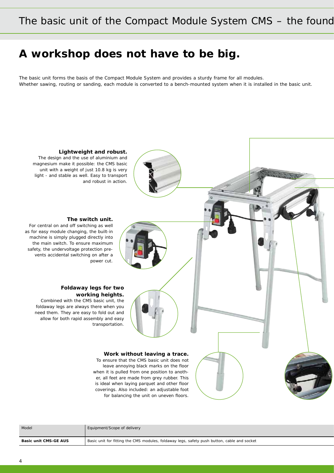## **A workshop does not have to be big.**

The basic unit forms the basis of the Compact Module System and provides a sturdy frame for all modules. Whether sawing, routing or sanding, each module is converted to a bench-mounted system when it is installed in the basic unit.



| Model                        | Equipment/Scope of delivery                                                                 |
|------------------------------|---------------------------------------------------------------------------------------------|
| <b>Basic unit CMS-GE AUS</b> | Basic unit for fitting the CMS modules, foldaway legs, safety push button, cable and socket |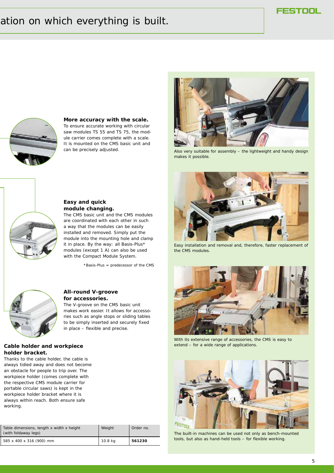## ation on which everything is built.



## **More accuracy with the scale.**

To ensure accurate working with circular saw modules TS 55 and TS 75, the module carrier comes complete with a scale. It is mounted on the CMS basic unit and can be precisely adjusted.



Also very suitable for assembly – the lightweight and handy design makes it possible.



### **Easy and quick module changing.**

The CMS basic unit and the CMS modules are coordinated with each other in such a way that the modules can be easily installed and removed. Simply put the module into the mounting hole and clamp it in place. By the way: all Basis-Plus\* modules (except 1 A) can also be used with the Compact Module System.

\*Basis-Plus = predecessor of the CMS



#### **All-round V-groove for accessories.**

The V-groove on the CMS basic unit makes work easier. It allows for accessories such as angle stops or sliding tables to be simply inserted and securely fixed in place – flexible and precise.

### **Cable holder and workpiece holder bracket.**

Thanks to the cable holder, the cable is always tidied away and does not become an obstacle for people to trip over. The workpiece holder (comes complete with the respective CMS module carrier for portable circular saws) is kept in the workpiece holder bracket where it is always within reach. Both ensure safe working.

| Table dimensions, length x width x height<br>(with foldaway legs) | Weight  | Order no. |
|-------------------------------------------------------------------|---------|-----------|
| 585 x 400 x 316 (900) mm                                          | 10.8 kg | 561230    |



Easy installation and removal and, therefore, faster replacement of the CMS modules.



With its extensive range of accessories, the CMS is easy to extend – for a wide range of applications.



The built-in machines can be used not only as bench-mounted tools, but also as hand-held tools – for flexible working.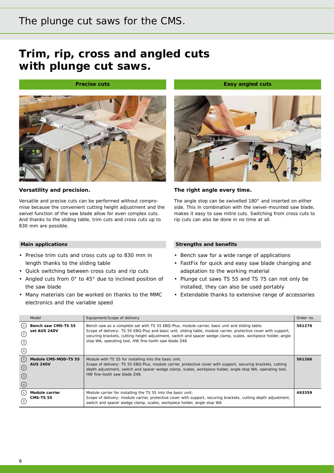## The plunge cut saws for the CMS.

# **Trim, rip, cross and angled cuts with plunge cut saws.**

### **Precise cuts**



## **Versatility and precision.**

Versatile and precise cuts can be performed without compromise because the convenient cutting height adjustment and the swivel function of the saw blade allow for even complex cuts. And thanks to the sliding table, trim cuts and cross cuts up to 830 mm are possible.



**Easy angled cuts** 

### **The right angle every time.**

The angle stop can be swivelled 180° and inserted on either side. This in combination with the swivel-mounted saw blade, makes it easy to saw mitre cuts. Switching from cross cuts to rip cuts can also be done in no time at all.

#### **Main applications**

- Precise trim cuts and cross cuts up to 830 mm in length thanks to the sliding table
- Quick switching between cross cuts and rip cuts
- Angled cuts from 0° to 45° due to inclined position of the saw blade
- Many materials can be worked on thanks to the MMC electronics and the variable speed

- Bench saw for a wide range of applications
- FastFix for quick and easy saw blade changing and adaptation to the working material
- Plunge cut saws TS 55 and TS 75 can not only be installed, they can also be used portably
- Extendable thanks to extensive range of accessories

|                                               | Model                                   | Equipment/Scope of delivery                                                                                                                                                                                                                                                                                                                                                               | Order no. |
|-----------------------------------------------|-----------------------------------------|-------------------------------------------------------------------------------------------------------------------------------------------------------------------------------------------------------------------------------------------------------------------------------------------------------------------------------------------------------------------------------------------|-----------|
| (1)<br>ⓒ<br>$\circled{3}$<br>(4)              | Bench saw CMS-TS 55<br>set AUS 240V     | Bench saw as a complete set with TS 55 EBQ-Plus, module carrier, basic unit and sliding table;<br>Scope of delivery: TS 55 EBQ-Plus and basic unit, sliding table, module carrier, protective cover with support,<br>securing brackets, cutting height adjustment, switch and spacer wedge clamp, scales, workpiece holder, angle<br>stop WA, operating tool, HW fine-tooth saw blade Z48 | 561276    |
| (1)<br>$\odot$<br>$\circled{3}$<br>$\bigcirc$ | Module CMS-MOD-TS 55<br><b>AUS 240V</b> | Module with TS 55 for installing into the basic unit;<br>Scope of delivery: TS 55 EBQ-Plus, module carrier, protective cover with support, securing brackets, cutting<br>depth adjustment, switch and spacer wedge clamp, scales, workpiece holder, angle stop WA, operating tool,<br>HW fine-tooth saw blade 748.                                                                        | 561266    |
| $\left( 2\right)$                             | Module carrier<br><b>CMS-TS 55</b>      | Module carrier for installing the TS 55 into the basic unit;<br>Scope of delivery: module carrier, protective cover with support, securing brackets, cutting depth adjustment,<br>switch and spacer wedge clamp, scales, workpiece holder, angle stop WA                                                                                                                                  | 493359    |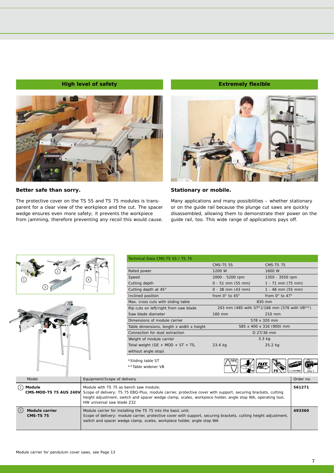### **High level of safety Extremely flexible Extremely flexible**



#### **Better safe than sorry.**

The protective cover on the TS 55 and TS 75 modules is transparent for a clear view of the workpiece and the cut. The spacer wedge ensures even more safety; it prevents the workpiece from jamming, therefore preventing any recoil this would cause.





### **Stationary or mobile.**

Many applications and many possibilities – whether stationary or on the guide rail because the plunge cut saws are quickly disassembled, allowing them to demonstrate their power on the guide rail, too. This wide range of applications pays off.





**CMS-MOD-TS 75 AUS 240V**

Model **Module** 2

**Module carrier** 2 **CMS-TS 75**

| Technical Data CMS-TS 55 / TS 75                                                                                                         |                                              |                              |                            |
|------------------------------------------------------------------------------------------------------------------------------------------|----------------------------------------------|------------------------------|----------------------------|
|                                                                                                                                          | <b>CMS-TS 55</b>                             | <b>CMS-TS 75</b>             |                            |
| Rated power                                                                                                                              | 1200 W                                       | 1600 W                       |                            |
| Speed                                                                                                                                    | 2000 - 5200 rpm                              | 1350 - 3550 rpm              |                            |
| Cutting depth                                                                                                                            | $0 - 51$ mm (55 mm)                          | $1 - 71$ mm (75 mm)          |                            |
| Cutting depth at 45°                                                                                                                     | $0 - 38$ mm $(43$ mm)                        | $1 - 48$ mm (55 mm)          |                            |
| Inclined position                                                                                                                        | from $0^\circ$ to $45^\circ$                 | from $0^\circ$ to $47^\circ$ |                            |
| Max. cross cuts with sliding table                                                                                                       |                                              | 830 mm                       |                            |
| Rip cuts on left/right from saw blade                                                                                                    | 243 mm (485 with ST*)/166 mm (576 with VB**) |                              |                            |
| Saw blade diameter                                                                                                                       | 160 mm                                       | 210 mm                       |                            |
| Dimensions of module carrier                                                                                                             |                                              | 578 x 320 mm                 |                            |
| Table dimensions, length x width x height                                                                                                |                                              | 585 x 400 x 316 (900) mm     |                            |
| Connection for dust extraction                                                                                                           |                                              | D 27/36 mm                   |                            |
| Weight of module carrier                                                                                                                 |                                              | $3.3$ kg                     |                            |
| Total weight (GE + MOD + ST + TS,                                                                                                        | 23.4 kg                                      | 25.2 kg                      |                            |
| without angle stop)                                                                                                                      |                                              |                              |                            |
| *Sliding table ST                                                                                                                        | MM                                           |                              |                            |
| **Table widener VB                                                                                                                       | FAS.<br><b>ELECTRONIC</b>                    |                              |                            |
|                                                                                                                                          |                                              |                              | <b>CLEANTEC</b><br>plua it |
| Equipment/Scope of delivery                                                                                                              |                                              |                              | Order no.                  |
| Module with TS 75 as bench saw module:                                                                                                   |                                              |                              | 561271                     |
| Scope of delivery: TS 75 EBQ-Plus, module carrier, protective cover with support, securing brackets, cutting                             |                                              |                              |                            |
| height adjustment, switch and spacer wedge clamp, scales, workpiece holder, angle stop WA, operating tool,<br>HW universal saw blade Z32 |                                              |                              |                            |
| Module carrier for installing the TS 75 into the basic unit;                                                                             |                                              |                              | 493360                     |
| Scope of delivery: module carrier, protective cover with support, securing brackets, cutting height adjustment,                          |                                              |                              |                            |
| switch and spacer wedge clamp, scales, workpiece holder, angle stop WA                                                                   |                                              |                              |                            |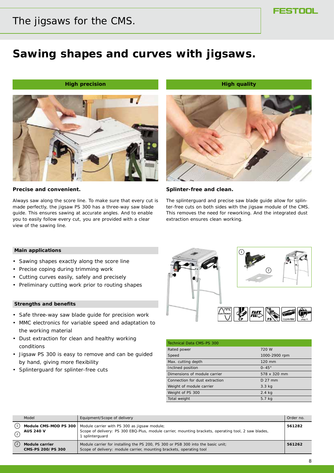## The jigsaws for the CMS.

## **Sawing shapes and curves with jigsaws.**

*Aligh precision* **Aligh quality is a set of the High quality control of the High quality**  $\mathbf{H}$ 



#### **Precise and convenient.**

Always saw along the score line. To make sure that every cut is made perfectly, the jigsaw PS 300 has a three-way saw blade guide. This ensures sawing at accurate angles. And to enable you to easily follow every cut, you are provided with a clear view of the sawing line.



#### **Splinter-free and clean.**

The splinterguard and precise saw blade guide allow for splinter-free cuts on both sides with the jigsaw module of the CMS. This removes the need for reworking. And the integrated dust extraction ensures clean working.

#### **Main applications**

- Sawing shapes exactly along the score line
- Precise coping during trimming work
- Cutting curves easily, safely and precisely
- Preliminary cutting work prior to routing shapes

- Safe three-way saw blade guide for precision work
- MMC electronics for variable speed and adaptation to the working material
- Dust extraction for clean and healthy working conditions
- Jigsaw PS 300 is easy to remove and can be guided by hand, giving more flexibility
- Splinterguard for splinter-free cuts



| <b>Technical Data CMS-PS 300</b> |               |
|----------------------------------|---------------|
| Rated power                      | 720 W         |
| Speed                            | 1000-2900 rpm |
| Max. cutting depth               | 120 mm        |
| Inclined position                | $0-45^\circ$  |
| Dimensions of module carrier     | 578 x 320 mm  |
| Connection for dust extraction   | $D$ 27 mm     |
| Weight of module carrier         | $3.3$ kg      |
| Weight of PS 300                 | $2.4$ kg      |
| Total weight                     | 5.7 kg        |

|               | Model                                     | Equipment/Scope of delivery                                                                                                                                           | Order no. |
|---------------|-------------------------------------------|-----------------------------------------------------------------------------------------------------------------------------------------------------------------------|-----------|
| $\Omega$      | Module CMS-MOD PS 300<br><b>AUS 240 V</b> | Module carrier with PS 300 as jigsaw module;<br>Scope of delivery: PS 300 EBQ-Plus, module carrier, mounting brackets, operating tool, 2 saw blades,<br>splinterquard | 561282    |
| $\circled{2}$ | Module carrier<br>CMS-PS 200/PS 300       | Module carrier for installing the PS 200, PS 300 or PSB 300 into the basic unit;<br>Scope of delivery: module carrier, mounting brackets, operating tool              | 561262    |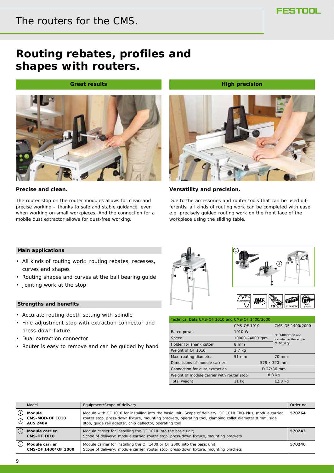## **Routing rebates, profiles and shapes with routers.**

### **Great results**



### **Precise and clean.**

The router stop on the router modules allows for clean and precise working – thanks to safe and stable guidance, even when working on small workpieces. And the connection for a mobile dust extractor allows for dust-free working.



**High precision** 

### **Versatility and precision.**

Due to the accessories and router tools that can be used differently, all kinds of routing work can be completed with ease, e.g. precisely guided routing work on the front face of the workpiece using the sliding table.

### **Main applications**

- All kinds of routing work: routing rebates, recesses, curves and shapes
- Routing shapes and curves at the ball bearing guide
- Jointing work at the stop

- Accurate routing depth setting with spindle
- Fine-adjustment stop with extraction connector and press-down fixture
- Dual extraction connector
- Router is easy to remove and can be guided by hand



| Technical Data CMS-OF 1010 and CMS-OF 1400/2000 |                 |                       |  |
|-------------------------------------------------|-----------------|-----------------------|--|
|                                                 | CMS-OF 1010     | CMS-OF 1400/2000      |  |
| Rated power                                     | 1010 W          | OF 1400/2000 not      |  |
| Speed                                           | 10000-24000 rpm | included in the scope |  |
| Holder for shank cutter                         | 8 mm            | of delivery.          |  |
| Weight of OF 1010                               | $2.7$ kg        |                       |  |
| Max. routing diameter                           | 51 mm           | 70 mm                 |  |
| Dimensions of module carrier                    |                 | 578 x 320 mm          |  |
| Connection for dust extraction                  |                 | D 27/36 mm            |  |
| Weight of module carrier with router stop       |                 | 8.3 kg                |  |
| Total weight                                    | 11 kg           | 12.8 kg               |  |

|               | Model                                               | Equipment/Scope of delivery                                                                                                                                                                                                                                                         | Order no. |
|---------------|-----------------------------------------------------|-------------------------------------------------------------------------------------------------------------------------------------------------------------------------------------------------------------------------------------------------------------------------------------|-----------|
| $\odot$       | Module<br><b>CMS-MOD-OF 1010</b><br><b>AUS 240V</b> | Module with OF 1010 for installing into the basic unit; Scope of delivery: OF 1010 EBQ-Plus, module carrier,<br>router stop, press-down fixture, mounting brackets, operating tool, clamping collet diameter 8 mm, side<br>stop, quide rail adapter, chip deflector, operating tool | 570264    |
| $\circled{2}$ | <b>Module carrier</b><br><b>CMS-OF 1010</b>         | Module carrier for installing the OF 1010 into the basic unit;<br>Scope of delivery: module carrier, router stop, press-down fixture, mounting brackets                                                                                                                             | 570243    |
| (2)           | Module carrier<br>CMS-OF 1400/OF 2000               | Module carrier for installing the OF 1400 or OF 2000 into the basic unit;<br>Scope of delivery: module carrier, router stop, press-down fixture, mounting brackets                                                                                                                  | 570246    |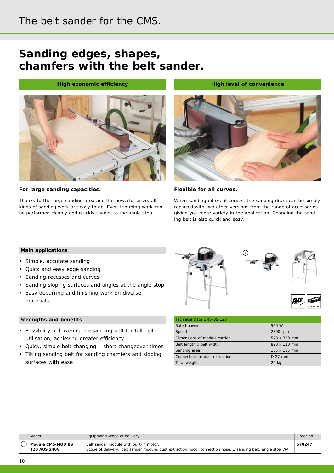## The belt sander for the CMS.

# **Sanding edges, shapes, chamfers with the belt sander.**

### **High economic efficiency and a set of convenience in the High level of convenience**



#### **For large sanding capacities.**

Thanks to the large sanding area and the powerful drive, all kinds of sanding work are easy to do. Even trimming work can be performed cleanly and quickly thanks to the angle stop.



#### **Flexible for all curves.**

When sanding different curves, the sanding drum can be simply replaced with two other versions from the range of accessories giving you more variety in the application. Changing the sanding belt is also quick and easy.

#### **Main applications**

- Simple, accurate sanding
- Quick and easy edge sanding
- Sanding recesses and curves
- Sanding sloping surfaces and angles at the angle stop
- Easy deburring and finishing work on diverse materials

- Possibility of lowering the sanding belt for full belt utilisation, achieving greater efficiency
- Quick, simple belt changing short changeover times
- Tilting sanding belt for sanding chamfers and sloping surfaces with ease •



| <b>Technical Data CMS-BS 120</b> |              |
|----------------------------------|--------------|
| Rated power                      | 550 W        |
| Speed                            | 2800 rpm     |
| Dimensions of module carrier     | 578 x 320 mm |
| Belt length x belt width         | 820 x 120 mm |
| Sanding area                     | 185 x 115 mm |
| Connection for dust extraction   | $D$ 27 mm    |
| Total weight                     | 20 kg        |

| Module CMS-MOD BS<br>Belt sander module with built-in motor: | Model               | Equipment/Scope of delivery                                                                                 | Order no. |
|--------------------------------------------------------------|---------------------|-------------------------------------------------------------------------------------------------------------|-----------|
|                                                              | <b>120 AUS 240V</b> | Scope of delivery: belt sander module, dust extraction hood, connection hose, 1 sanding belt, angle stop WA | 570247    |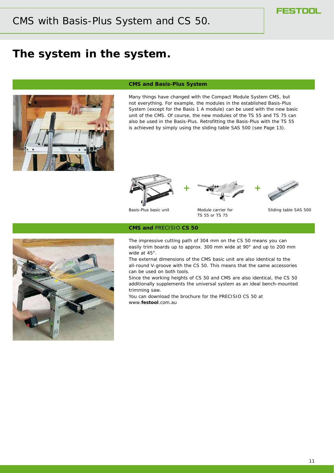## **The system in the system.**



#### **CMS and Basis-Plus System**

Many things have changed with the Compact Module System CMS, but not everything. For example, the modules in the established Basis-Plus System (except for the Basis 1 A module) can be used with the new basic unit of the CMS. Of course, the new modules of the TS 55 and TS 75 can also be used in the Basis-Plus. Retrofitting the Basis-Plus with the TS 55 is achieved by simply using the sliding table SAS 500 (see Page 13).







Basis-Plus basic unit Module carrier for Sliding table SAS 500



#### **CMS and** *PRECISIO* **CS 50**

The impressive cutting path of 304 mm on the CS 50 means you can easily trim boards up to approx. 300 mm wide at 90° and up to 200 mm wide at 45°.

TS 55 or TS 75

The external dimensions of the CMS basic unit are also identical to the all-round V-groove with the CS 50. This means that the same accessories can be used on both tools.

Since the working heights of CS 50 and CMS are also identical, the CS 50 additionally supplements the universal system as an ideal bench-mounted trimming saw.

You can download the brochure for the PRECISIO CS 50 at www.**festool**.com.au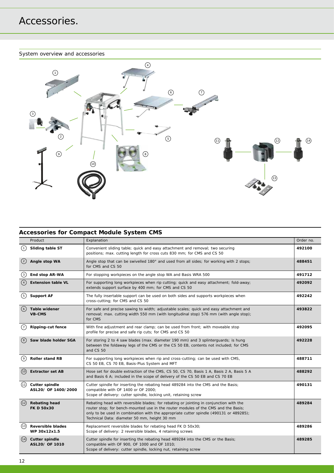### System overview and accessories



## **Accessories for Compact Module System CMS**

|                   | Product                                      | Explanation                                                                                                                                                                                                                                                                                                            | Order no. |
|-------------------|----------------------------------------------|------------------------------------------------------------------------------------------------------------------------------------------------------------------------------------------------------------------------------------------------------------------------------------------------------------------------|-----------|
| $\left(1\right)$  | Sliding table ST                             | Convenient sliding table; quick and easy attachment and removal; two securing<br>positions; max. cutting length for cross cuts 830 mm; for CMS and CS 50                                                                                                                                                               | 492100    |
| $\left( 2\right)$ | Angle stop WA                                | Angle stop that can be swivelled 180° and used from all sides; for working with 2 stops;<br>for CMS and CS 50                                                                                                                                                                                                          | 488451    |
| $\binom{3}{ }$    | End stop AR-WA                               | For stopping workpieces on the angle stop WA and Basis WRA 500                                                                                                                                                                                                                                                         | 491712    |
| $\binom{4}{4}$    | <b>Extension table VL</b>                    | For supporting long workpieces when rip cutting; quick and easy attachment; fold-away;<br>extends support surface by 400 mm; for CMS and CS 50                                                                                                                                                                         | 492092    |
| 〔5〕               | <b>Support AF</b>                            | The fully insertable support can be used on both sides and supports workpieces when<br>cross-cutting; for CMS and CS 50                                                                                                                                                                                                | 492242    |
| (6)               | Table widener<br><b>VB-CMS</b>               | For safe and precise sawing to width; adjustable scales; quick and easy attachment and<br>removal; max. cutting width 550 mm (with longitudinal stop) 576 mm (with angle stop);<br>for CMS                                                                                                                             | 493822    |
| $\frac{7}{7}$     | <b>Ripping-cut fence</b>                     | With fine adjustment and rear clamp; can be used from front; with moveable stop<br>profile for precise and safe rip cuts; for CMS and CS 50                                                                                                                                                                            | 492095    |
| $\binom{8}{ }$    | Saw blade holder SGA                         | For storing 2 to 4 saw blades (max. diameter 190 mm) and 3 splinterguards; is hung<br>between the foldaway legs of the CMS or the CS 50 EB, contents not included; for CMS<br>and CS 50                                                                                                                                | 492228    |
| ( ၄ )             | <b>Roller stand RB</b>                       | For supporting long workpieces when rip and cross-cutting; can be used with CMS,<br>CS 50 EB, CS 70 EB, Basis-Plus System and MFT                                                                                                                                                                                      | 488711    |
| (10)              | <b>Extractor set AB</b>                      | Hose set for double extraction of the CMS, CS 50, CS 70, Basis 1 A, Basis 2 A, Basis 5 A<br>and Basis 6 A; included in the scope of delivery of the CS 50 EB and CS 70 EB                                                                                                                                              | 488292    |
| (11)              | <b>Cutter spindle</b><br>ASL20/ OF 1400/2000 | Cutter spindle for inserting the rebating head 489284 into the CMS and the Basis;<br>compatible with OF 1400 or OF 2000;<br>Scope of delivery: cutter spindle, locking unit, retaining screw                                                                                                                           | 490131    |
| (12)              | <b>Rebating head</b><br><b>FK D 50x30</b>    | Rebating head with reversible blades; for rebating or jointing in conjunction with the<br>router stop; for bench-mounted use in the router modules of the CMS and the Basis;<br>only to be used in combination with the appropriate cutter spindle (490131 or 489285);<br>Technical Data: diameter 50 mm, height 30 mm | 489284    |
| (13)              | <b>Reversible blades</b><br>WP 30x12x1.5     | Replacement reversible blades for rebating head FK D 50x30;<br>Scope of delivery: 2 reversible blades, 4 retaining screws                                                                                                                                                                                              | 489286    |
| (14)              | <b>Cutter spindle</b><br>ASL20/ OF 1010      | Cutter spindle for inserting the rebating head 489284 into the CMS or the Basis;<br>compatible with OF 900, OF 1000 and OF 1010;<br>Scope of delivery: cutter spindle, locking nut, retaining screw                                                                                                                    | 489285    |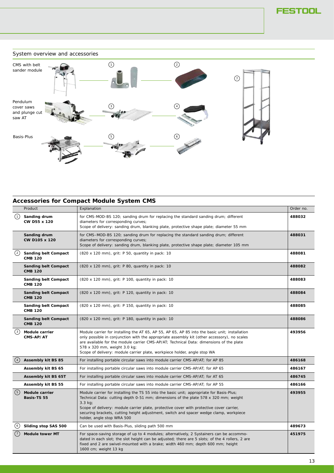## System overview and accessories CMS with belt sander module Pendulum cover saws and plunge cut saw AT Basis-Plus  $\left(2\right)$  $\odot$  $\left(4\right)$  $\begin{array}{ccc} 5 \end{array}$  (6

## **Accessories for Compact Module System CMS**

|                   | Product                                       | Explanation                                                                                                                                                                                                                                                                                                                                                                                                               | Order no. |
|-------------------|-----------------------------------------------|---------------------------------------------------------------------------------------------------------------------------------------------------------------------------------------------------------------------------------------------------------------------------------------------------------------------------------------------------------------------------------------------------------------------------|-----------|
| (1)               | Sanding drum<br>CW D55 x 120                  | for CMS-MOD-BS 120; sanding drum for replacing the standard sanding drum; different<br>diameters for corresponding curves;<br>Scope of delivery: sanding drum, blanking plate, protective shape plate; diameter 55 mm                                                                                                                                                                                                     | 488032    |
|                   | Sanding drum<br>CW D105 x 120                 | for CMS-MOD-BS 120; sanding drum for replacing the standard sanding drum; different<br>diameters for corresponding curves;<br>Scope of delivery: sanding drum, blanking plate, protective shape plate; diameter 105 mm                                                                                                                                                                                                    | 488031    |
| $\left( 2\right)$ | <b>Sanding belt Compact</b><br><b>CMB 120</b> | (820 x 120 mm), grit: P 50, quantity in pack: 10                                                                                                                                                                                                                                                                                                                                                                          | 488081    |
|                   | <b>Sanding belt Compact</b><br><b>CMB 120</b> | (820 x 120 mm), grit: P 80, quantity in pack: 10                                                                                                                                                                                                                                                                                                                                                                          | 488082    |
|                   | <b>Sanding belt Compact</b><br><b>CMB 120</b> | (820 x 120 mm), grit: P 100, quantity in pack: 10                                                                                                                                                                                                                                                                                                                                                                         | 488083    |
|                   | <b>Sanding belt Compact</b><br><b>CMB 120</b> | (820 x 120 mm), grit: P 120, quantity in pack: 10                                                                                                                                                                                                                                                                                                                                                                         | 488084    |
|                   | <b>Sanding belt Compact</b><br><b>CMB 120</b> | (820 x 120 mm), grit: P 150, quantity in pack: 10                                                                                                                                                                                                                                                                                                                                                                         | 488085    |
|                   | <b>Sanding belt Compact</b><br><b>CMB 120</b> | (820 x 120 mm), grit: P 180, quantity in pack: 10                                                                                                                                                                                                                                                                                                                                                                         | 488086    |
| $\left(3\right)$  | Module carrier<br>CMS-AP/AT                   | Module carrier for installing the AT 65, AP 55, AP 65, AP 85 into the basic unit; installation<br>only possible in conjunction with the appropriate assembly kit (other accessory), no scales<br>are available for the module carrier CMS-AP/AT; Technical Data: dimensions of the plate<br>578 x 320 mm, weight 3.0 kg;<br>Scope of delivery: module carrier plate, workpiece holder, angle stop WA                      | 493956    |
| (4)               | Assembly kit BS 85                            | For installing portable circular saws into module carrier CMS-AP/AT; for AP 85                                                                                                                                                                                                                                                                                                                                            | 486168    |
|                   | Assembly kit BS 65                            | For installing portable circular saws into module carrier CMS-AP/AT; for AP 65                                                                                                                                                                                                                                                                                                                                            | 486167    |
|                   | Assembly kit BS 65T                           | For installing portable circular saws into module carrier CMS-AP/AT; for AT 65                                                                                                                                                                                                                                                                                                                                            | 486745    |
|                   | Assembly kit BS 55                            | For installing portable circular saws into module carrier CMS-AP/AT; for AP 55                                                                                                                                                                                                                                                                                                                                            | 486166    |
| $\binom{5}{ }$    | <b>Module carrier</b><br>Basis-TS 55          | Module carrier for installing the TS 55 into the basic unit; appropriate for Basis-Plus;<br>Technical Data: cutting depth 0-51 mm; dimensions of the plate 578 x 320 mm; weight<br>$3.3 \text{ kg}$ ;<br>Scope of delivery: module carrier plate, protective cover with protective cover carrier,<br>securing brackets, cutting height adjustment, switch and spacer wedge clamp, workpiece<br>holder, angle stop WRA 500 | 493955    |
| (6)               | Sliding stop SAS 500                          | Can be used with Basis-Plus, sliding path 500 mm                                                                                                                                                                                                                                                                                                                                                                          | 489673    |
| (7)               | <b>Module tower MT</b>                        | For space-saving storage of up to 4 modules; alternatively, 2 Systainers can be accommo-<br>dated in each slot; the slot height can be adjusted; there are 5 slots; of the 4 rollers, 2 are<br>fixed and 2 are swivel-mounted with a brake; width 460 mm; depth 600 mm; height<br>1600 cm; weight 13 kg                                                                                                                   | 451975    |